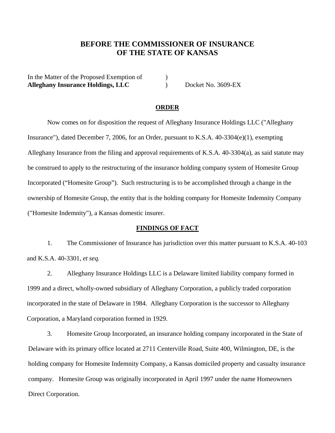# **BEFORE THE COMMISSIONER OF INSURANCE OF THE STATE OF KANSAS**

In the Matter of the Proposed Exemption of  $\qquad \qquad$  ) **Alleghany Insurance Holdings, LLC** ) Docket No. 3609-EX

#### **ORDER**

Now comes on for disposition the request of Alleghany Insurance Holdings LLC ("Alleghany Insurance"), dated December 7, 2006, for an Order, pursuant to K.S.A. 40-3304(e)(1), exempting Alleghany Insurance from the filing and approval requirements of K.S.A. 40-3304(a), as said statute may be construed to apply to the restructuring of the insurance holding company system of Homesite Group Incorporated ("Homesite Group"). Such restructuring is to be accomplished through a change in the ownership of Homesite Group, the entity that is the holding company for Homesite Indemnity Company ("Homesite Indemnity"), a Kansas domestic insurer.

### **FINDINGS OF FACT**

1. The Commissioner of Insurance has jurisdiction over this matter pursuant to K.S.A. 40-103 and K.S.A. 40-3301, *et seq.*

2. Alleghany Insurance Holdings LLC is a Delaware limited liability company formed in 1999 and a direct, wholly-owned subsidiary of Alleghany Corporation, a publicly traded corporation incorporated in the state of Delaware in 1984. Alleghany Corporation is the successor to Alleghany Corporation, a Maryland corporation formed in 1929.

3. Homesite Group Incorporated, an insurance holding company incorporated in the State of Delaware with its primary office located at 2711 Centerville Road, Suite 400, Wilmington, DE, is the holding company for Homesite Indemnity Company, a Kansas domiciled property and casualty insurance company. Homesite Group was originally incorporated in April 1997 under the name Homeowners Direct Corporation.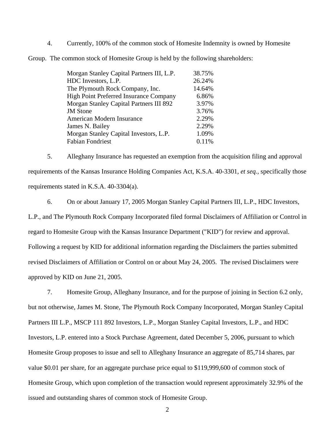4. Currently, 100% of the common stock of Homesite Indemnity is owned by Homesite

Group. The common stock of Homesite Group is held by the following shareholders:

| Morgan Stanley Capital Partners III, L.P. | 38.75% |
|-------------------------------------------|--------|
| HDC Investors, L.P.                       | 26.24% |
| The Plymouth Rock Company, Inc.           | 14.64% |
| High Point Preferred Insurance Company    | 6.86%  |
| Morgan Stanley Capital Partners III 892   | 3.97%  |
| <b>JM</b> Stone                           | 3.76%  |
| American Modern Insurance                 | 2.29%  |
| James N. Bailey                           | 2.29%  |
| Morgan Stanley Capital Investors, L.P.    | 1.09%  |
| <b>Fabian Fondriest</b>                   | 0.11%  |

5. Alleghany Insurance has requested an exemption from the acquisition filing and approval requirements of the Kansas Insurance Holding Companies Act, K.S.A. 40-3301*, et seq.,* specifically those requirements stated in K.S.A. 40-3304(a).

6. On or about January 17, 2005 Morgan Stanley Capital Partners III, L.P., HDC Investors, L.P., and The Plymouth Rock Company Incorporated filed formal Disclaimers of Affiliation or Control in regard to Homesite Group with the Kansas Insurance Department ("KID") for review and approval. Following a request by KID for additional information regarding the Disclaimers the parties submitted revised Disclaimers of Affiliation or Control on or about May 24, 2005. The revised Disclaimers were approved by KID on June 21, 2005.

7. Homesite Group, Alleghany Insurance, and for the purpose of joining in Section 6.2 only, but not otherwise, James M. Stone, The Plymouth Rock Company Incorporated, Morgan Stanley Capital Partners III L.P., MSCP 111 892 Investors, L.P., Morgan Stanley Capital Investors, L.P., and HDC Investors, L.P. entered into a Stock Purchase Agreement, dated December 5, 2006, pursuant to which Homesite Group proposes to issue and sell to Alleghany Insurance an aggregate of 85,714 shares, par value \$0.01 per share, for an aggregate purchase price equal to \$119,999,600 of common stock of Homesite Group, which upon completion of the transaction would represent approximately 32.9% of the issued and outstanding shares of common stock of Homesite Group.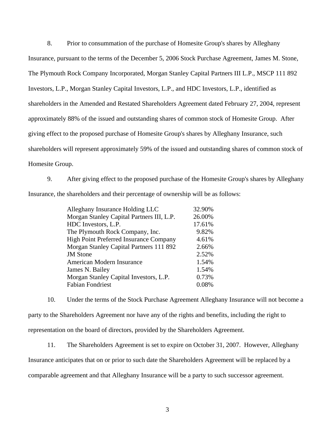8. Prior to consummation of the purchase of Homesite Group's shares by Alleghany Insurance, pursuant to the terms of the December 5, 2006 Stock Purchase Agreement, James M. Stone, The Plymouth Rock Company Incorporated, Morgan Stanley Capital Partners III L.P., MSCP 111 892 Investors, L.P., Morgan Stanley Capital Investors, L.P., and HDC Investors, L.P., identified as shareholders in the Amended and Restated Shareholders Agreement dated February 27, 2004, represent approximately 88% of the issued and outstanding shares of common stock of Homesite Group. After giving effect to the proposed purchase of Homesite Group's shares by Alleghany Insurance, such shareholders will represent approximately 59% of the issued and outstanding shares of common stock of Homesite Group.

9. After giving effect to the proposed purchase of the Homesite Group's shares by Alleghany Insurance, the shareholders and their percentage of ownership will be as follows:

| Alleghany Insurance Holding LLC           | 32.90% |
|-------------------------------------------|--------|
| Morgan Stanley Capital Partners III, L.P. | 26.00% |
| HDC Investors, L.P.                       | 17.61% |
| The Plymouth Rock Company, Inc.           | 9.82%  |
| High Point Preferred Insurance Company    | 4.61%  |
| Morgan Stanley Capital Partners 111 892   | 2.66%  |
| <b>JM</b> Stone                           | 2.52%  |
| American Modern Insurance                 | 1.54%  |
| James N. Bailey                           | 1.54%  |
| Morgan Stanley Capital Investors, L.P.    | 0.73%  |
| <b>Fabian Fondriest</b>                   | 0.08%  |

10. Under the terms of the Stock Purchase Agreement Alleghany Insurance will not become a party to the Shareholders Agreement nor have any of the rights and benefits, including the right to representation on the board of directors, provided by the Shareholders Agreement.

11. The Shareholders Agreement is set to expire on October 31, 2007. However, Alleghany Insurance anticipates that on or prior to such date the Shareholders Agreement will be replaced by a comparable agreement and that Alleghany Insurance will be a party to such successor agreement.

3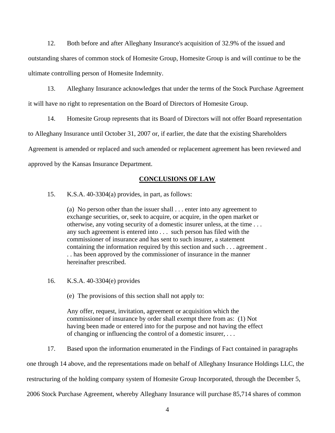12. Both before and after Alleghany Insurance's acquisition of 32.9% of the issued and

outstanding shares of common stock of Homesite Group, Homesite Group is and will continue to be the ultimate controlling person of Homesite Indemnity.

13. Alleghany Insurance acknowledges that under the terms of the Stock Purchase Agreement it will have no right to representation on the Board of Directors of Homesite Group.

14. Homesite Group represents that its Board of Directors will not offer Board representation to Alleghany Insurance until October 31, 2007 or, if earlier, the date that the existing Shareholders Agreement is amended or replaced and such amended or replacement agreement has been reviewed and approved by the Kansas Insurance Department.

## **CONCLUSIONS OF LAW**

15. K.S.A. 40-3304(a) provides, in part, as follows:

(a) No person other than the issuer shall . . . enter into any agreement to exchange securities, or, seek to acquire, or acquire, in the open market or otherwise, any voting security of a domestic insurer unless, at the time . . . any such agreement is entered into . . . such person has filed with the commissioner of insurance and has sent to such insurer, a statement containing the information required by this section and such . . . agreement . . . has been approved by the commissioner of insurance in the manner hereinafter prescribed.

- 16. K.S.A. 40-3304(e) provides
	- (e) The provisions of this section shall not apply to:

Any offer, request, invitation, agreement or acquisition which the commissioner of insurance by order shall exempt there from as: (1) Not having been made or entered into for the purpose and not having the effect of changing or influencing the control of a domestic insurer, . . .

17. Based upon the information enumerated in the Findings of Fact contained in paragraphs

one through 14 above, and the representations made on behalf of Alleghany Insurance Holdings LLC, the

restructuring of the holding company system of Homesite Group Incorporated, through the December 5,

2006 Stock Purchase Agreement, whereby Alleghany Insurance will purchase 85,714 shares of common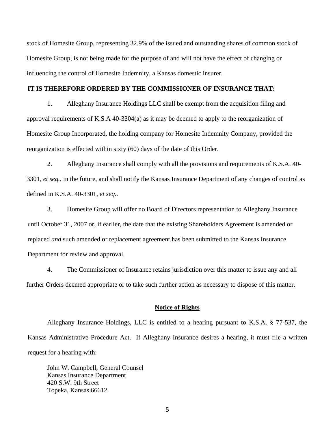stock of Homesite Group, representing 32.9% of the issued and outstanding shares of common stock of Homesite Group, is not being made for the purpose of and will not have the effect of changing or influencing the control of Homesite Indemnity, a Kansas domestic insurer.

## **IT IS THEREFORE ORDERED BY THE COMMISSIONER OF INSURANCE THAT:**

1. Alleghany Insurance Holdings LLC shall be exempt from the acquisition filing and approval requirements of K.S.A 40-3304(a) as it may be deemed to apply to the reorganization of Homesite Group Incorporated, the holding company for Homesite Indemnity Company, provided the reorganization is effected within sixty (60) days of the date of this Order.

2. Alleghany Insurance shall comply with all the provisions and requirements of K.S.A. 40- 3301, *et seq.,* in the future, and shall notify the Kansas Insurance Department of any changes of control as defined in K.S.A. 40-3301, *et seq.*.

 3. Homesite Group will offer no Board of Directors representation to Alleghany Insurance until October 31, 2007 or, if earlier, the date that the existing Shareholders Agreement is amended or replaced *and* such amended or replacement agreement has been submitted to the Kansas Insurance Department for review and approval.

4. The Commissioner of Insurance retains jurisdiction over this matter to issue any and all further Orders deemed appropriate or to take such further action as necessary to dispose of this matter.

#### **Notice of Rights**

 Alleghany Insurance Holdings, LLC is entitled to a hearing pursuant to K.S.A. § 77-537, the Kansas Administrative Procedure Act. If Alleghany Insurance desires a hearing, it must file a written request for a hearing with:

John W. Campbell, General Counsel Kansas Insurance Department 420 S.W. 9th Street Topeka, Kansas 66612.

5